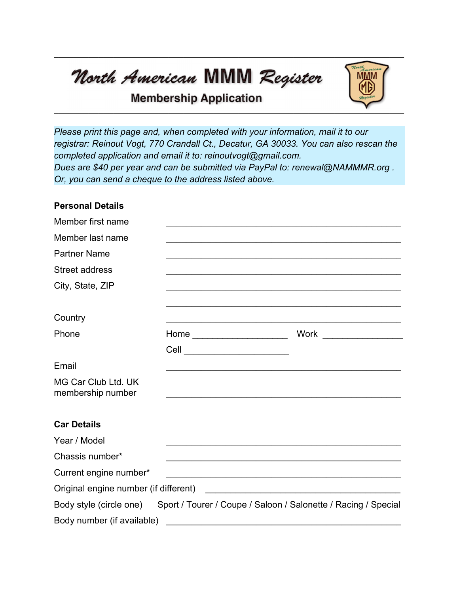North American MMM Register



## **Membership Application**

*Please print this page and, when completed with your information, mail it to our registrar: Reinout Vogt, 770 Crandall Ct., Decatur, GA 30033. You can also rescan the completed application and email it to: reinoutvogt@gmail.com. Dues are \$40 per year and can be submitted via PayPal to: renewal@NAMMMR.org . Or, you can send a cheque to the address listed above.*

## **Personal Details**

| Member first name                        |                                                                                        |  |
|------------------------------------------|----------------------------------------------------------------------------------------|--|
| Member last name                         |                                                                                        |  |
| <b>Partner Name</b>                      |                                                                                        |  |
| <b>Street address</b>                    |                                                                                        |  |
| City, State, ZIP                         |                                                                                        |  |
|                                          |                                                                                        |  |
| Country                                  |                                                                                        |  |
| Phone                                    |                                                                                        |  |
|                                          | Cell __________________________                                                        |  |
| Email                                    |                                                                                        |  |
| MG Car Club Ltd. UK<br>membership number |                                                                                        |  |
|                                          |                                                                                        |  |
| <b>Car Details</b>                       |                                                                                        |  |
| Year / Model                             |                                                                                        |  |
| Chassis number*                          |                                                                                        |  |
| Current engine number*                   |                                                                                        |  |
| Original engine number (if different)    | <u> 1989 - Johann John Stone, markin f</u>                                             |  |
|                                          | Body style (circle one) Sport / Tourer / Coupe / Saloon / Salonette / Racing / Special |  |
| Body number (if available)               |                                                                                        |  |